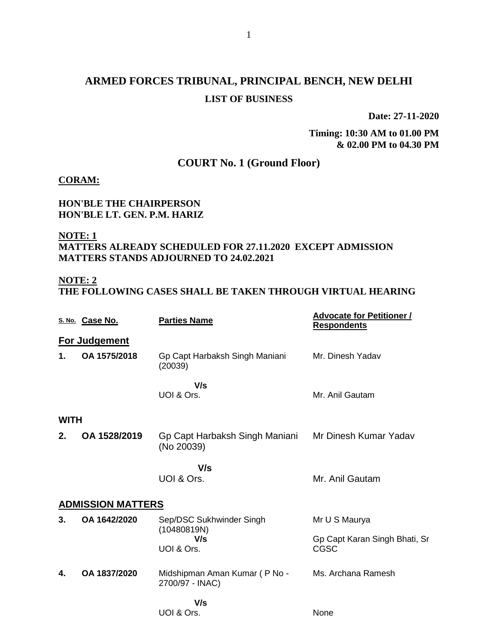# **ARMED FORCES TRIBUNAL, PRINCIPAL BENCH, NEW DELHI LIST OF BUSINESS**

**Date: 27-11-2020**

**Timing: 10:30 AM to 01.00 PM & 02.00 PM to 04.30 PM**

## **COURT No. 1 (Ground Floor)**

**CORAM:**

#### **HON'BLE THE CHAIRPERSON HON'BLE LT. GEN. P.M. HARIZ**

### **NOTE: 1 MATTERS ALREADY SCHEDULED FOR 27.11.2020 EXCEPT ADMISSION MATTERS STANDS ADJOURNED TO 24.02.2021**

### **NOTE: 2**

**THE FOLLOWING CASES SHALL BE TAKEN THROUGH VIRTUAL HEARING**

|                          | S. No. Case No.      | <b>Parties Name</b>                              | <b>Advocate for Petitioner /</b><br><b>Respondents</b> |  |
|--------------------------|----------------------|--------------------------------------------------|--------------------------------------------------------|--|
|                          | <b>For Judgement</b> |                                                  |                                                        |  |
| 1.                       | OA 1575/2018         | Gp Capt Harbaksh Singh Maniani<br>(20039)        | Mr. Dinesh Yadav                                       |  |
|                          |                      | V/s                                              |                                                        |  |
|                          |                      | UOI & Ors.                                       | Mr. Anil Gautam                                        |  |
|                          | <b>WITH</b>          |                                                  |                                                        |  |
| 2.                       | OA 1528/2019         | Gp Capt Harbaksh Singh Maniani<br>(No 20039)     | Mr Dinesh Kumar Yadav                                  |  |
|                          |                      | V/s                                              |                                                        |  |
|                          |                      | UOI & Ors.                                       | Mr. Anil Gautam                                        |  |
| <b>ADMISSION MATTERS</b> |                      |                                                  |                                                        |  |
| 3.                       | OA 1642/2020         | Sep/DSC Sukhwinder Singh                         | Mr U S Maurya                                          |  |
|                          |                      | (10480819N)<br>V/s                               | Gp Capt Karan Singh Bhati, Sr                          |  |
|                          |                      | UOI & Ors.                                       | <b>CGSC</b>                                            |  |
| 4.                       | OA 1837/2020         | Midshipman Aman Kumar (P No -<br>2700/97 - INAC) | Ms. Archana Ramesh                                     |  |
|                          |                      | V/s                                              |                                                        |  |
|                          |                      | UOI & Ors.                                       | None                                                   |  |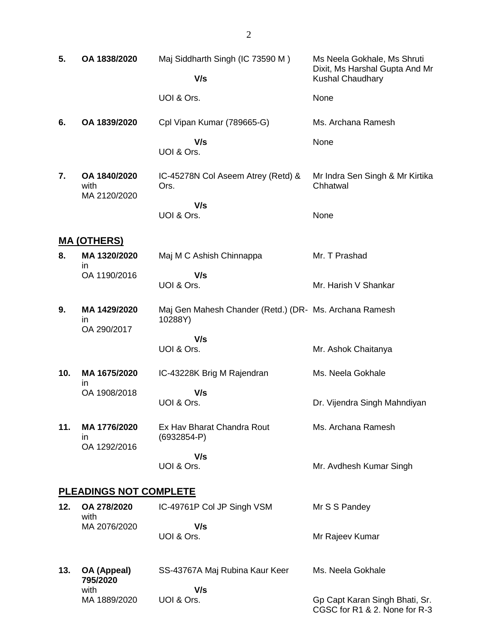| 5.                            | OA 1838/2020                         | Maj Siddharth Singh (IC 73590 M)                                  | Ms Neela Gokhale, Ms Shruti<br>Dixit, Ms Harshal Gupta And Mr   |
|-------------------------------|--------------------------------------|-------------------------------------------------------------------|-----------------------------------------------------------------|
|                               |                                      | V/s                                                               | <b>Kushal Chaudhary</b>                                         |
|                               |                                      | UOI & Ors.                                                        | None                                                            |
| 6.                            | OA 1839/2020                         | Cpl Vipan Kumar (789665-G)                                        | Ms. Archana Ramesh                                              |
|                               |                                      | V/s<br>UOI & Ors.                                                 | None                                                            |
| 7.                            | OA 1840/2020<br>with<br>MA 2120/2020 | IC-45278N Col Aseem Atrey (Retd) &<br>Ors.                        | Mr Indra Sen Singh & Mr Kirtika<br>Chhatwal                     |
|                               |                                      | V/s<br>UOI & Ors.                                                 | None                                                            |
|                               | <u>MA (OTHERS)</u>                   |                                                                   |                                                                 |
| 8.                            | MA 1320/2020<br>in.                  | Maj M C Ashish Chinnappa                                          | Mr. T Prashad                                                   |
|                               | OA 1190/2016                         | V/s<br>UOI & Ors.                                                 | Mr. Harish V Shankar                                            |
| 9.                            | MA 1429/2020<br>in<br>OA 290/2017    | Maj Gen Mahesh Chander (Retd.) (DR- Ms. Archana Ramesh<br>10288Y) |                                                                 |
|                               |                                      | V/s                                                               |                                                                 |
|                               |                                      | UOI & Ors.                                                        | Mr. Ashok Chaitanya                                             |
| 10.                           | MA 1675/2020<br>in                   | IC-43228K Brig M Rajendran                                        | Ms. Neela Gokhale                                               |
|                               | OA 1908/2018                         | V/s<br>UOI & Ors.                                                 | Dr. Vijendra Singh Mahndiyan                                    |
| 11.                           | MA 1776/2020                         | Ex Hav Bharat Chandra Rout                                        | Ms. Archana Ramesh                                              |
|                               | in<br>OA 1292/2016                   | $(6932854-P)$                                                     |                                                                 |
|                               |                                      | V/s<br>UOI & Ors.                                                 | Mr. Avdhesh Kumar Singh                                         |
| <b>PLEADINGS NOT COMPLETE</b> |                                      |                                                                   |                                                                 |
| 12.                           | OA 278/2020<br>with                  | IC-49761P Col JP Singh VSM                                        | Mr S S Pandey                                                   |
|                               | MA 2076/2020                         | V/s<br>UOI & Ors.                                                 | Mr Rajeev Kumar                                                 |
| 13.                           | OA (Appeal)<br>795/2020              | SS-43767A Maj Rubina Kaur Keer                                    | Ms. Neela Gokhale                                               |
|                               | with<br>MA 1889/2020                 | V/s<br>UOI & Ors.                                                 | Gp Capt Karan Singh Bhati, Sr.<br>CGSC for R1 & 2. None for R-3 |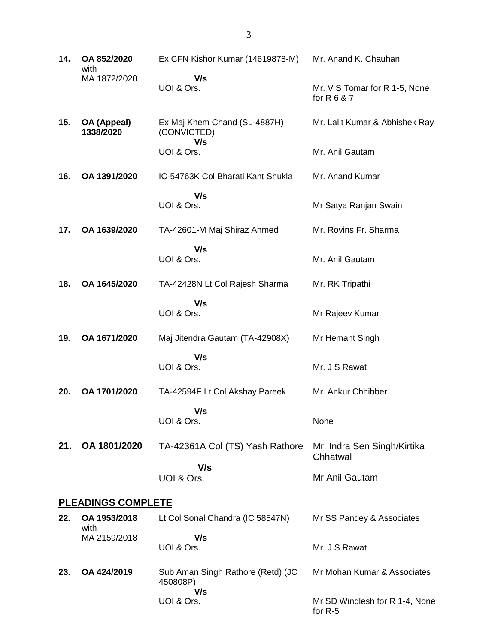| 14.                       | OA 852/2020<br>with      | Ex CFN Kishor Kumar (14619878-M)                     | Mr. Anand K. Chauhan                         |
|---------------------------|--------------------------|------------------------------------------------------|----------------------------------------------|
|                           | MA 1872/2020             | V/s<br>UOI & Ors.                                    | Mr. V S Tomar for R 1-5, None<br>for R 6 & 7 |
| 15.                       | OA (Appeal)<br>1338/2020 | Ex Maj Khem Chand (SL-4887H)<br>(CONVICTED)          | Mr. Lalit Kumar & Abhishek Ray               |
|                           |                          | V/s<br>UOI & Ors.                                    | Mr. Anil Gautam                              |
| 16.                       | OA 1391/2020             | IC-54763K Col Bharati Kant Shukla                    | Mr. Anand Kumar                              |
|                           |                          | V/s<br>UOI & Ors.                                    | Mr Satya Ranjan Swain                        |
| 17.                       | OA 1639/2020             | TA-42601-M Maj Shiraz Ahmed                          | Mr. Rovins Fr. Sharma                        |
|                           |                          | V/s<br>UOI & Ors.                                    | Mr. Anil Gautam                              |
| 18.                       | OA 1645/2020             | TA-42428N Lt Col Rajesh Sharma                       | Mr. RK Tripathi                              |
|                           |                          | V/s<br>UOI & Ors.                                    | Mr Rajeev Kumar                              |
| 19.                       | OA 1671/2020             | Maj Jitendra Gautam (TA-42908X)                      | Mr Hemant Singh                              |
|                           |                          | V/s<br>UOI & Ors.                                    | Mr. J S Rawat                                |
| 20.                       | OA 1701/2020             | TA-42594F Lt Col Akshay Pareek                       | Mr. Ankur Chhibber                           |
|                           |                          | V/s<br>UOI & Ors.                                    | None                                         |
| 21.                       | OA 1801/2020             | TA-42361A Col (TS) Yash Rathore                      | Mr. Indra Sen Singh/Kirtika<br>Chhatwal      |
|                           |                          | V/s<br>UOI & Ors.                                    | Mr Anil Gautam                               |
| <b>PLEADINGS COMPLETE</b> |                          |                                                      |                                              |
| 22.                       | OA 1953/2018<br>with     | Lt Col Sonal Chandra (IC 58547N)                     | Mr SS Pandey & Associates                    |
|                           | MA 2159/2018             | V/s<br>UOI & Ors.                                    | Mr. J S Rawat                                |
| 23.                       | OA 424/2019              | Sub Aman Singh Rathore (Retd) (JC<br>450808P)<br>V/s | Mr Mohan Kumar & Associates                  |
|                           |                          | UOI & Ors.                                           | Mr SD Windlesh for R 1-4, None<br>for $R-5$  |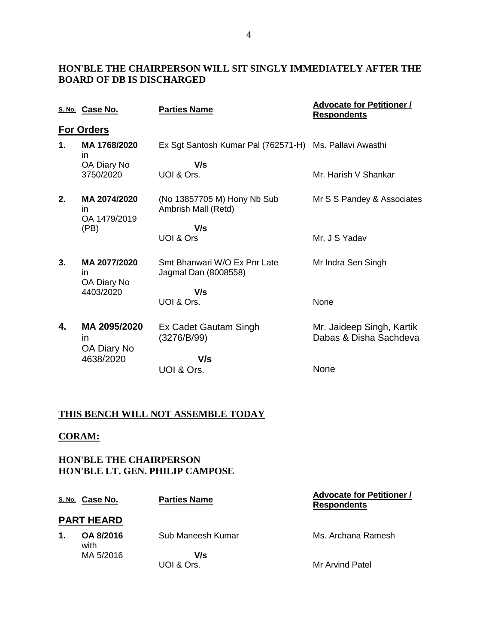### **HON'BLE THE CHAIRPERSON WILL SIT SINGLY IMMEDIATELY AFTER THE BOARD OF DB IS DISCHARGED**

|    | S. No. Case No.                            | <b>Parties Name</b>                                     | <b>Advocate for Petitioner /</b><br><b>Respondents</b> |
|----|--------------------------------------------|---------------------------------------------------------|--------------------------------------------------------|
|    | <b>For Orders</b>                          |                                                         |                                                        |
| 1. | MA 1768/2020<br>in                         | Ex Sgt Santosh Kumar Pal (762571-H) Ms. Pallavi Awasthi |                                                        |
|    | OA Diary No                                | V/s                                                     |                                                        |
|    | 3750/2020                                  | UOI & Ors.                                              | Mr. Harish V Shankar                                   |
| 2. | MA 2074/2020<br>in<br>OA 1479/2019<br>(PB) | (No 13857705 M) Hony Nb Sub<br>Ambrish Mall (Retd)      | Mr S S Pandey & Associates                             |
|    |                                            | V/s                                                     |                                                        |
|    |                                            | UOI & Ors                                               | Mr. J S Yadav                                          |
| 3. | MA 2077/2020<br>in.<br>OA Diary No         | Smt Bhanwari W/O Ex Pnr Late<br>Jagmal Dan (8008558)    | Mr Indra Sen Singh                                     |
|    | 4403/2020                                  | V/s                                                     |                                                        |
|    |                                            | UOI & Ors.                                              | None                                                   |
| 4. | MA 2095/2020<br>in<br>OA Diary No          | Ex Cadet Gautam Singh<br>(3276/B/99)                    | Mr. Jaideep Singh, Kartik<br>Dabas & Disha Sachdeva    |
|    | 4638/2020                                  | V/s                                                     |                                                        |
|    |                                            | UOI & Ors.                                              | None                                                   |

### **THIS BENCH WILL NOT ASSEMBLE TODAY**

#### **CORAM:**

### **HON'BLE THE CHAIRPERSON HON'BLE LT. GEN. PHILIP CAMPOSE**

|                   | S. No. Case No.   | <b>Parties Name</b> | <b>Advocate for Petitioner /</b><br><b>Respondents</b> |  |
|-------------------|-------------------|---------------------|--------------------------------------------------------|--|
| <b>PART HEARD</b> |                   |                     |                                                        |  |
| 1.                | OA 8/2016<br>with | Sub Maneesh Kumar   | Ms. Archana Ramesh                                     |  |
|                   | MA 5/2016         | V/s<br>UOI & Ors.   | Mr Arvind Patel                                        |  |
|                   |                   |                     |                                                        |  |